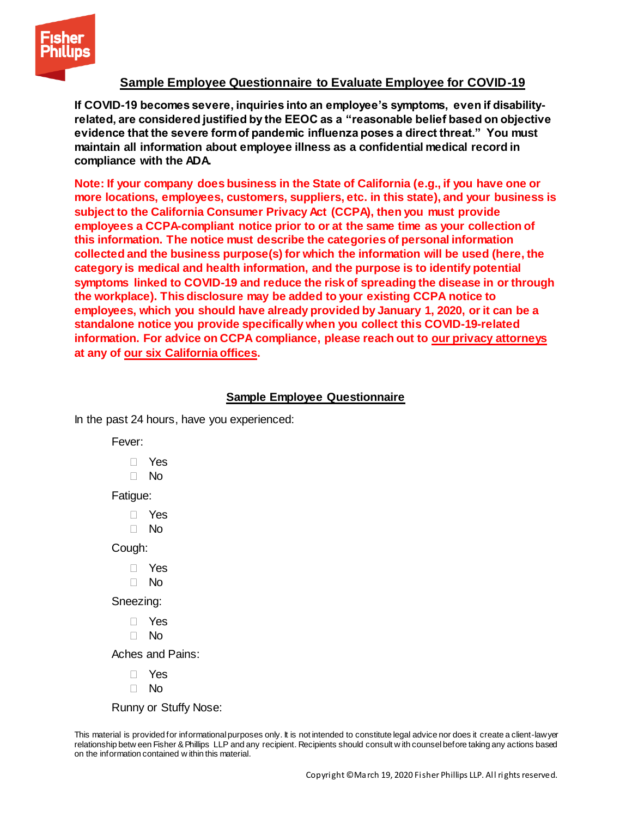

## **Sample Employee Questionnaire to Evaluate Employee for COVID-19**

**If COVID-19 becomes severe, inquiries into an employee's symptoms, even if disabilityrelated, are considered justified by the EEOC as a "reasonable belief based on objective evidence that the severe form of pandemic influenza poses a direct threat." You must maintain all information about employee illness as a confidential medical record in compliance with the ADA.** 

**Note: If your company does business in the State of California (e.g., if you have one or more locations, employees, customers, suppliers, etc. in this state), and your business is subject to the California Consumer Privacy Act (CCPA), then you must provide employees a CCPA-compliant notice prior to or at the same time as your collection of this information. The notice must describe the categories of personal information collected and the business purpose(s) for which the information will be used (here, the category is medical and health information, and the purpose is to identify potential symptoms linked to COVID-19 and reduce the risk of spreading the disease in or through the workplace). This disclosure may be added to your existing CCPA notice to employees, which you should have already provided by January 1, 2020, or it can be a standalone notice you provide specifically when you collect this COVID-19-related information. For advice on CCPA compliance, please reach out to [our privacy attorneys](https://www.fisherphillips.com/services-data-security-and-workplace-privacy) at any of [our six California offices.](https://www.fisherphillips.com/offices)**

## **Sample Employee Questionnaire**

In the past 24 hours, have you experienced:

Fever:

- Yes
- No

Fatigue:

- Yes
- No

Cough:

- Yes
- No

Sneezing:

- Yes
- No

Aches and Pains:

- Yes
- $\Box$  No

Runny or Stuffy Nose:

This material is provided for informational purposes only. It is not intended to constitute legal advice nor does it create a client-lawyer relationship betw een Fisher & Phillips LLP and any recipient. Recipients should consult w ith counsel before taking any actions based on the information contained w ithin this material.